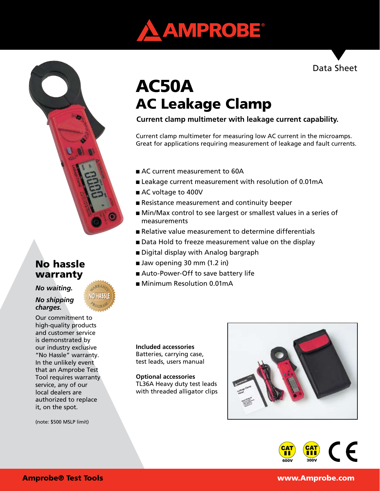



# No hassle warranty

*No waiting.* 

*No shipping charges.*

Our commitment to high-quality products and customer service is demonstrated by our industry exclusive "No Hassle" warranty. In the unlikely event that an Amprobe Test Tool requires warranty service, any of our local dealers are authorized to replace it, on the spot.

(note: \$500 MSLP limit)

# AC50A AC Leakage Clamp

**Current clamp multimeter with leakage current capability.**

Current clamp multimeter for measuring low AC current in the microamps. Great for applications requiring measurement of leakage and fault currents.

- AC current measurement to 60A
- Leakage current measurement with resolution of 0.01mA
- AC voltage to 400V
- Resistance measurement and continuity beeper
- Min/Max control to see largest or smallest values in a series of measurements
- Relative value measurement to determine differentials
- Data Hold to freeze measurement value on the display
- Digital display with Analog bargraph
- Jaw opening 30 mm (1.2 in)
- Auto-Power-Off to save battery life
- Minimum Resolution 0.01mA

**Included accessories** Batteries, carrying case, test leads, users manual

**Optional accessories** TL36A Heavy duty test leads with threaded alligator clips





Data Sheet

Amprobe® Test Tools www.Amprobe.com